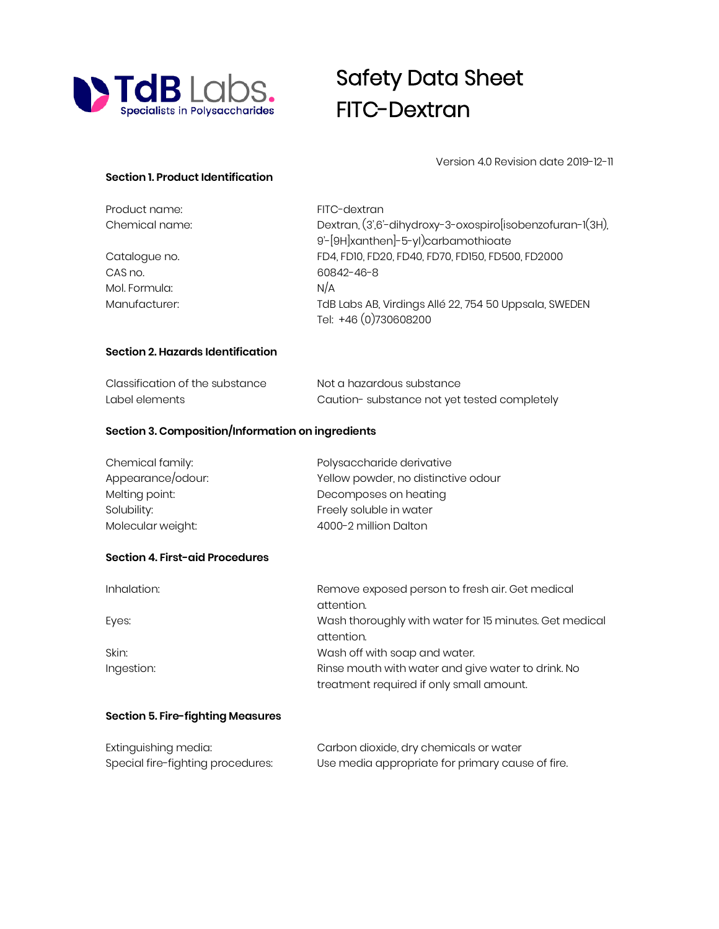

## Safety Data Sheet FITC-Dextran

Version 4.0 Revision date 2019-12-11

## **Section 1. Product Identification**

| Product name:  | FITC-dextran                                              |
|----------------|-----------------------------------------------------------|
| Chemical name: | Dextran, (3',6'-dihydroxy-3-oxospiro[isobenzofuran-1(3H), |
|                | 9'-[9H]xanthen]-5-yl)carbamothioate                       |
| Catalogue no.  | FD4, FD10, FD20, FD40, FD70, FD150, FD500, FD2000         |
| CAS no.        | 60842-46-8                                                |
| Mol. Formula:  | N/A                                                       |
| Manufacturer:  | TdB Labs AB, Virdings Allé 22, 754 50 Uppsala, SWEDEN     |
|                | Tel: +46 (0)730608200                                     |

## **Section 2. Hazards Identification**

| Classification of the substance | Not a hazardous substance                   |  |
|---------------------------------|---------------------------------------------|--|
| Label elements                  | Caution-substance not yet tested completely |  |

## **Section 3. Composition/Information on ingredients**

| Chemical family:  | Polysaccharide derivative           |
|-------------------|-------------------------------------|
| Appearance/odour: | Yellow powder, no distinctive odour |
| Melting point:    | Decomposes on heating               |
| Solubility:       | Freely soluble in water             |
| Molecular weight: | 4000-2 million Dalton               |

## **Section 4. First-aid Procedures**

| Inhalation: | Remove exposed person to fresh air. Get medical        |
|-------------|--------------------------------------------------------|
|             | attention.                                             |
| Eyes:       | Wash thoroughly with water for 15 minutes. Get medical |
|             | attention.                                             |
| Skin:       | Wash off with soap and water.                          |
| Ingestion:  | Rinse mouth with water and give water to drink. No     |
|             | treatment required if only small amount.               |

## **Section 5. Fire-fighting Measures**

| Extinguishing media:              | Carbon dioxide, dry chemicals or water           |
|-----------------------------------|--------------------------------------------------|
| Special fire-fighting procedures: | Use media appropriate for primary cause of fire. |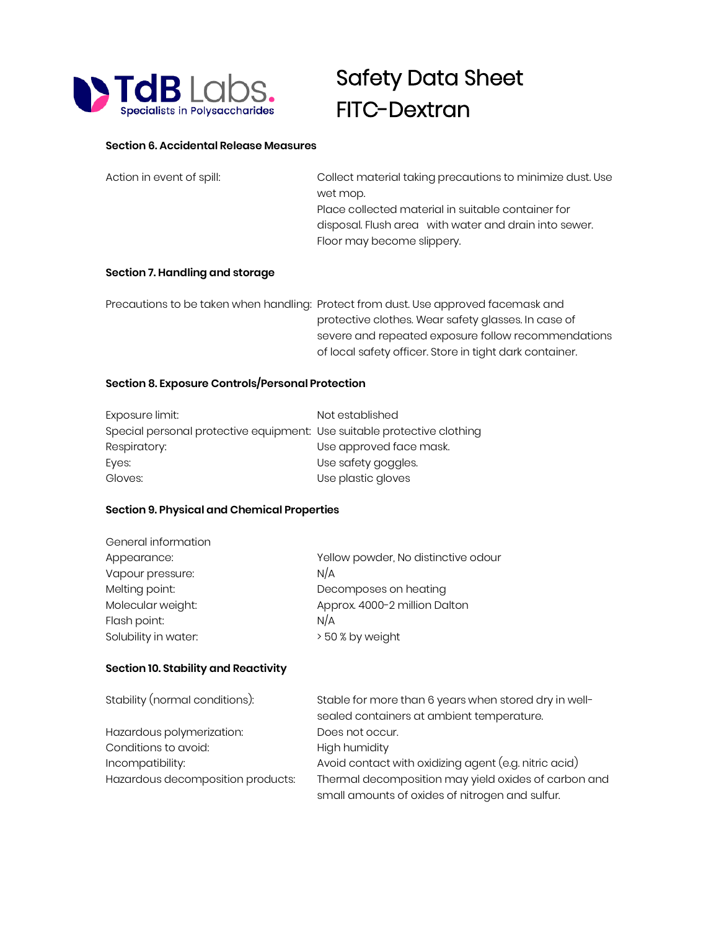

# Safety Data Sheet FITC-Dextran

#### **Section 6. Accidental Release Measures**

| Action in event of spill: | Collect material taking precautions to minimize dust. Use |
|---------------------------|-----------------------------------------------------------|
|                           | wet mop.                                                  |
|                           | Place collected material in suitable container for        |
|                           | disposal. Flush area with water and drain into sewer.     |
|                           | Floor may become slippery.                                |

#### **Section 7. Handling and storage**

Precautions to be taken when handling: Protect from dust. Use approved facemask and protective clothes. Wear safety glasses. In case of severe and repeated exposure follow recommendations of local safety officer. Store in tight dark container.

## **Section 8. Exposure Controls/Personal Protection**

| Exposure limit:                                                         | Not established         |
|-------------------------------------------------------------------------|-------------------------|
| Special personal protective equipment: Use suitable protective clothing |                         |
| Respiratory:                                                            | Use approved face mask. |
| Eyes:                                                                   | Use safety goggles.     |
| Gloves:                                                                 | Use plastic gloves      |

## **Section 9. Physical and Chemical Properties**

| General information  |                                     |
|----------------------|-------------------------------------|
| Appearance:          | Yellow powder, No distinctive odour |
| Vapour pressure:     | N/A                                 |
| Melting point:       | Decomposes on heating               |
| Molecular weight:    | Approx. 4000-2 million Dalton       |
| Flash point:         | N/A                                 |
| Solubility in water: | > 50 % by weight                    |

#### **Section 10. Stability and Reactivity**

| Stability (normal conditions):    | Stable for more than 6 years when stored dry in well- |  |
|-----------------------------------|-------------------------------------------------------|--|
|                                   | sealed containers at ambient temperature.             |  |
| Hazardous polymerization:         | Does not occur.                                       |  |
| Conditions to avoid:              | High humidity                                         |  |
| Incompatibility:                  | Avoid contact with oxidizing agent (e.g. nitric acid) |  |
| Hazardous decomposition products: | Thermal decomposition may yield oxides of carbon and  |  |
|                                   | small amounts of oxides of nitrogen and sulfur.       |  |